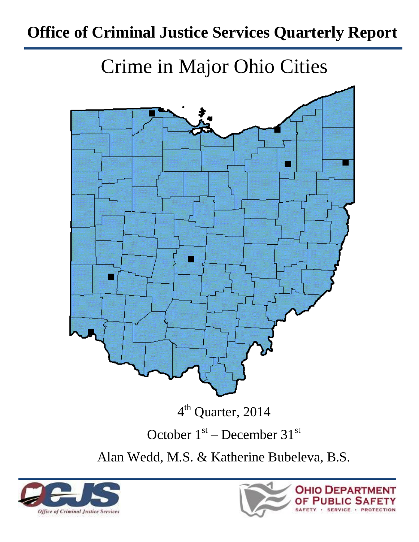# **Office of Criminal Justice Services Quarterly Report**

Crime in Major Ohio Cities



Alan Wedd, M.S. & Katherine Bubeleva, B.S.



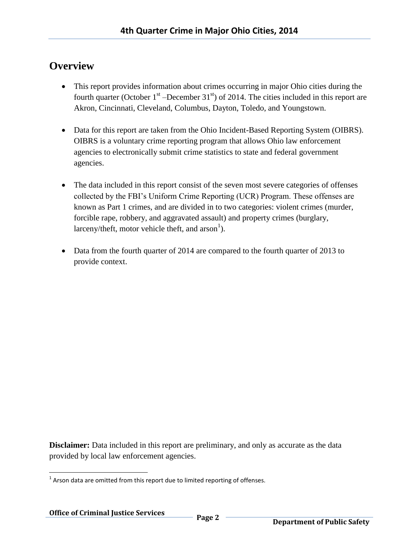## **Overview**

- This report provides information about crimes occurring in major Ohio cities during the fourth quarter (October  $1<sup>st</sup>$  –December 31<sup>st</sup>) of 2014. The cities included in this report are Akron, Cincinnati, Cleveland, Columbus, Dayton, Toledo, and Youngstown.
- Data for this report are taken from the Ohio Incident-Based Reporting System (OIBRS). OIBRS is a voluntary crime reporting program that allows Ohio law enforcement agencies to electronically submit crime statistics to state and federal government agencies.
- The data included in this report consist of the seven most severe categories of offenses collected by the FBI's Uniform Crime Reporting (UCR) Program. These offenses are known as Part 1 crimes, and are divided in to two categories: violent crimes (murder, forcible rape, robbery, and aggravated assault) and property crimes (burglary, larceny/theft, motor vehicle theft, and  $arson<sup>1</sup>$ ).
- Data from the fourth quarter of 2014 are compared to the fourth quarter of 2013 to provide context.

**Disclaimer:** Data included in this report are preliminary, and only as accurate as the data provided by local law enforcement agencies.

l  $1$  Arson data are omitted from this report due to limited reporting of offenses.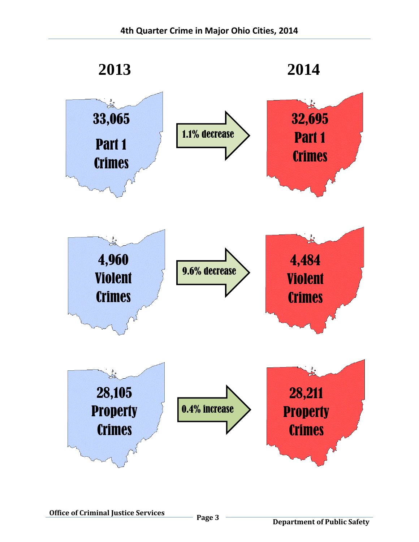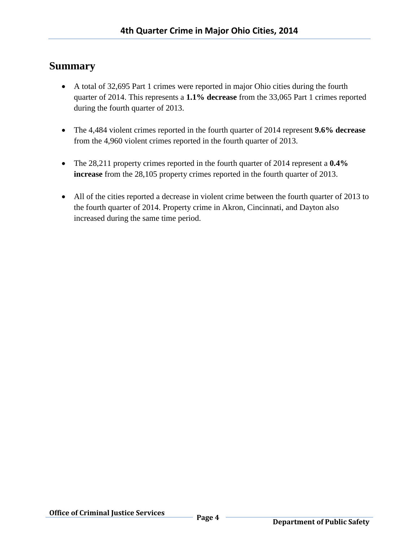## **Summary**

- A total of 32,695 Part 1 crimes were reported in major Ohio cities during the fourth quarter of 2014. This represents a **1.1% decrease** from the 33,065 Part 1 crimes reported during the fourth quarter of 2013.
- The 4,484 violent crimes reported in the fourth quarter of 2014 represent **9.6% decrease** from the 4,960 violent crimes reported in the fourth quarter of 2013.
- The 28,211 property crimes reported in the fourth quarter of 2014 represent a **0.4% increase** from the 28,105 property crimes reported in the fourth quarter of 2013.
- All of the cities reported a decrease in violent crime between the fourth quarter of 2013 to the fourth quarter of 2014. Property crime in Akron, Cincinnati, and Dayton also increased during the same time period.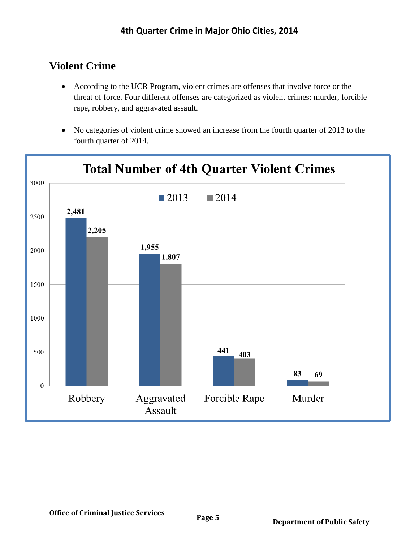# **Violent Crime**

- According to the UCR Program, violent crimes are offenses that involve force or the threat of force. Four different offenses are categorized as violent crimes: murder, forcible rape, robbery, and aggravated assault.
- No categories of violent crime showed an increase from the fourth quarter of 2013 to the fourth quarter of 2014.

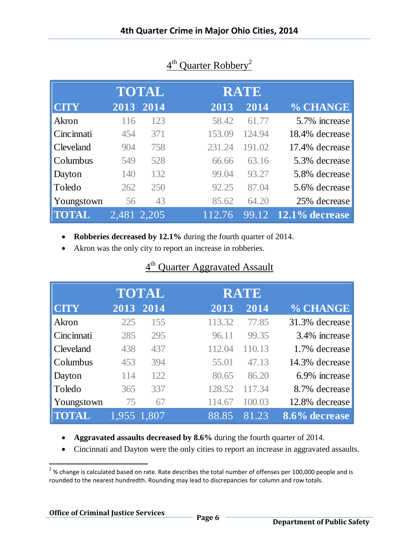|              |             | <b>TOTAL</b> |        | <b>RATE</b> |                   |
|--------------|-------------|--------------|--------|-------------|-------------------|
| <b>CITY</b>  |             | 2013 2014    | 2013   | 2014        | % CHANGE          |
| Akron        | 116         | 123          | 58.42  | 61.77       | 5.7% increase     |
| Cincinnati   | 454         | 371          | 153.09 | 124.94      | 18.4% decrease    |
| Cleveland    | 904         | 758          | 231.24 | 191.02      | 17.4% decrease    |
| Columbus     | 549         | 528          | 66.66  | 63.16       | 5.3% decrease     |
| Dayton       | 140         | 132          | 99.04  | 93.27       | 5.8% decrease     |
| Toledo       | 262         | 250          | 92.25  | 87.04       | 5.6% decrease     |
| Youngstown   | 56          | 43           | 85.62  | 64.20       | 25% decrease      |
| <b>TOTAL</b> | 2,481 2,205 |              | 112.76 | 99.12       | $12.1\%$ decrease |

# 4<sup>th</sup> Quarter Robbery<sup>2</sup>

**Robberies decreased by 12.1%** during the fourth quarter of 2014.

Akron was the only city to report an increase in robberies.

# 4<sup>th</sup> Quarter Aggravated Assault

|              |             | TOTAL |        | <b>RATE</b> |                |
|--------------|-------------|-------|--------|-------------|----------------|
| <b>CITY</b>  | 2013        | 2014  | 2013   | 2014        | % CHANGE       |
| Akron        | 225         | 155   | 113.32 | 77.85       | 31.3% decrease |
| Cincinnati   | 285         | 295   | 96.11  | 99.35       | 3.4% increase  |
| Cleveland    | 438         | 437   | 112.04 | 110.13      | 1.7% decrease  |
| Columbus     | 453         | 394   | 55.01  | 47.13       | 14.3% decrease |
| Dayton       | 114         | 122   | 80.65  | 86.20       | 6.9% increase  |
| Toledo       | 365         | 337   | 128.52 | 117.34      | 8.7% decrease  |
| Youngstown   | 75          | 67    | 114.67 | 100.03      | 12.8% decrease |
| <b>TOTAL</b> | 1,955 1,807 |       | 88.85  | 81.23       | 8.6% decrease  |

**Aggravated assaults decreased by 8.6%** during the fourth quarter of 2014.

Cincinnati and Dayton were the only cities to report an increase in aggravated assaults.

 $\overline{\phantom{a}}$ 

 $^{2}$ % change is calculated based on rate. Rate describes the total number of offenses per 100,000 people and is rounded to the nearest hundredth. Rounding may lead to discrepancies for column and row totals.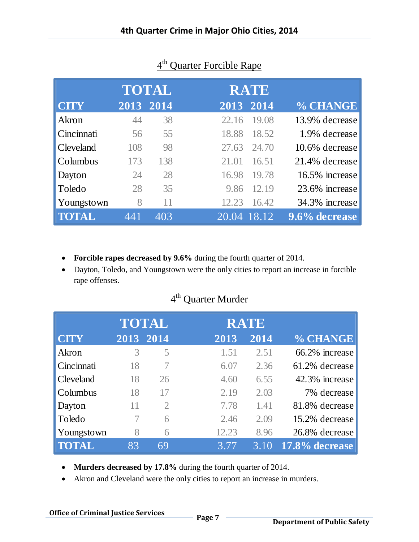|                  |           | <b>TOTAL</b> |             | <b>RATE</b> |                |
|------------------|-----------|--------------|-------------|-------------|----------------|
| <b>CITY</b>      | 2013 2014 |              | 2013 2014   |             | % CHANGE       |
| Akron            | 44        | 38           | 22.16       | 19.08       | 13.9% decrease |
| Cincinnati       | 56        | 55           | 18.88       | 18.52       | 1.9% decrease  |
| <b>Cleveland</b> | 108       | 98           | 27.63       | 24.70       | 10.6% decrease |
| Columbus         | 173       | 138          | 21.01       | 16.51       | 21.4% decrease |
| Dayton           | 24        | 28           | 16.98       | 19.78       | 16.5% increase |
| Toledo           | 28        | 35           | 9.86        | 12.19       | 23.6% increase |
| Youngstown       | 8         | 11           | 12.23       | 16.42       | 34.3% increase |
|                  | 441       | 403          | 20.04 18.12 |             | 9.6% decrease  |

## 4<sup>th</sup> Quarter Forcible Rape

- **Forcible rapes decreased by 9.6%** during the fourth quarter of 2014.
- Dayton, Toledo, and Youngstown were the only cities to report an increase in forcible rape offenses.

|              |    | <b>TOTAL</b>   |       | <b>RATE</b> |                |
|--------------|----|----------------|-------|-------------|----------------|
| <b>CITY</b>  |    | 2013 2014      | 2013  | 2014        | % CHANGE       |
| Akron        | 3  | 5              | 1.51  | 2.51        | 66.2% increase |
| Cincinnati   | 18 |                | 6.07  | 2.36        | 61.2% decrease |
| Cleveland    | 18 | 26             | 4.60  | 6.55        | 42.3% increase |
| Columbus     | 18 | 17             | 2.19  | 2.03        | 7% decrease    |
| Dayton       | 11 | $\overline{2}$ | 7.78  | 1.41        | 81.8% decrease |
| Toledo       |    | 6              | 2.46  | 2.09        | 15.2% decrease |
| Youngstown   | 8  | 6              | 12.23 | 8.96        | 26.8% decrease |
| <b>TOTAL</b> | 83 | 69             | 3.77  | $3.10^{6}$  | 17.8% decrease |
|              |    |                |       |             |                |

## 4<sup>th</sup> Quarter Murder

- **Murders decreased by 17.8%** during the fourth quarter of 2014.
- Akron and Cleveland were the only cities to report an increase in murders.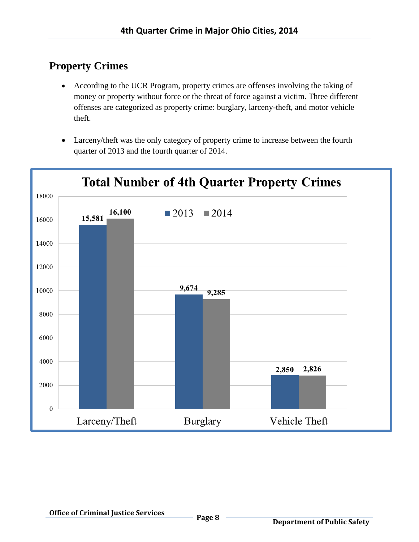# **Property Crimes**

- According to the UCR Program, property crimes are offenses involving the taking of money or property without force or the threat of force against a victim. Three different offenses are categorized as property crime: burglary, larceny-theft, and motor vehicle theft.
- Larceny/theft was the only category of property crime to increase between the fourth quarter of 2013 and the fourth quarter of 2014.

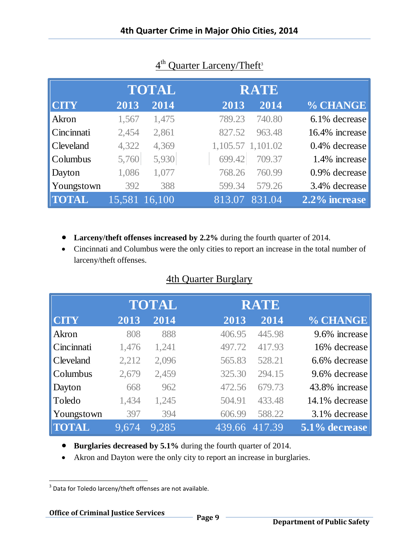|                  |               | <b>TOTAL</b> |        | <b>RATE</b>       |                |
|------------------|---------------|--------------|--------|-------------------|----------------|
| <b>CITY</b>      | 2013          | 2014         | 2013   | 2014              | % CHANGE       |
| Akron            | 1,567         | 1,475        | 789.23 | 740.80            | 6.1% decrease  |
| Cincinnati       | 2,454         | 2,861        | 827.52 | 963.48            | 16.4% increase |
| <b>Cleveland</b> | 4,322         | 4,369        |        | 1,105.57 1,101.02 | 0.4% decrease  |
| Columbus         | 5,760         | 5,930        | 699.42 | 709.37            | 1.4% increase  |
| Dayton           | 1,086         | 1,077        | 768.26 | 760.99            | 0.9% decrease  |
| Youngstown       | 392           | 388          | 599.34 | 579.26            | 3.4% decrease  |
| <b>TOTAL</b>     | 15,581 16,100 |              | 813.07 | 831.04            | 2.2% increase  |

## 4<sup>th</sup> Quarter Larceny/Theft<sup>3</sup>

- **Larceny/theft offenses increased by 2.2%** during the fourth quarter of 2014.
- Cincinnati and Columbus were the only cities to report an increase in the total number of larceny/theft offenses.

#### 4th Quarter Burglary

|              |       | TOTAL |        | <b>RATE</b> |                |
|--------------|-------|-------|--------|-------------|----------------|
| <b>CITY</b>  | 2013  | 2014  | 2013   | 2014        | % CHANGE       |
| Akron        | 808   | 888   | 406.95 | 445.98      | 9.6% increase  |
| Cincinnati   | 1,476 | 1,241 | 497.72 | 417.93      | 16% decrease   |
| Cleveland    | 2,212 | 2,096 | 565.83 | 528.21      | 6.6% decrease  |
| Columbus     | 2,679 | 2,459 | 325.30 | 294.15      | 9.6% decrease  |
| Dayton       | 668   | 962   | 472.56 | 679.73      | 43.8% increase |
| Toledo       | 1,434 | 1,245 | 504.91 | 433.48      | 14.1% decrease |
| Youngstown   | 397   | 394   | 606.99 | 588.22      | 3.1% decrease  |
| <b>TOTAL</b> | 9,674 | 9.285 | 439.66 | 417.39      | 5.1% decrease  |

- **Burglaries decreased by 5.1%** during the fourth quarter of 2014.
- Akron and Dayton were the only city to report an increase in burglaries.

 3 Data for Toledo larceny/theft offenses are not available.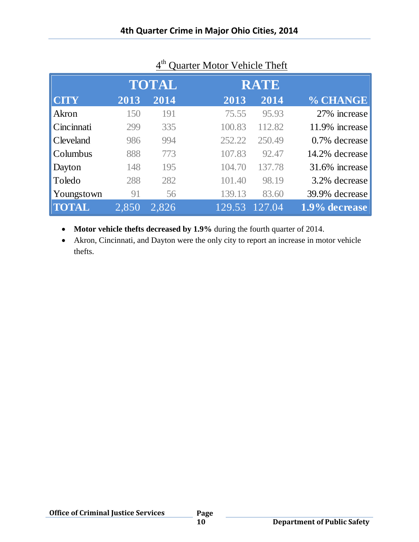|              | <b>TOTAL</b> |       | <b>RATE</b> |        |                |  |
|--------------|--------------|-------|-------------|--------|----------------|--|
| <b>CITY</b>  | 2013         | 2014  | 2013        | 2014   | % CHANGE       |  |
| Akron        | 150          | 191   | 75.55       | 95.93  | 27% increase   |  |
| Cincinnati   | 299          | 335   | 100.83      | 112.82 | 11.9% increase |  |
| Cleveland    | 986          | 994   | 252.22      | 250.49 | 0.7% decrease  |  |
| Columbus     | 888          | 773   | 107.83      | 92.47  | 14.2% decrease |  |
| Dayton       | 148          | 195   | 104.70      | 137.78 | 31.6% increase |  |
| Toledo       | 288          | 282   | 101.40      | 98.19  | 3.2% decrease  |  |
| Youngstown   | 91           | 56    | 139.13      | 83.60  | 39.9% decrease |  |
| <b>TOTAL</b> | 2,850        | 2,826 | 129.53      | 127.04 | 1.9% decrease  |  |

## 4<sup>th</sup> Quarter Motor Vehicle Theft

**Motor vehicle thefts decreased by 1.9%** during the fourth quarter of 2014.

 Akron, Cincinnati, and Dayton were the only city to report an increase in motor vehicle thefts.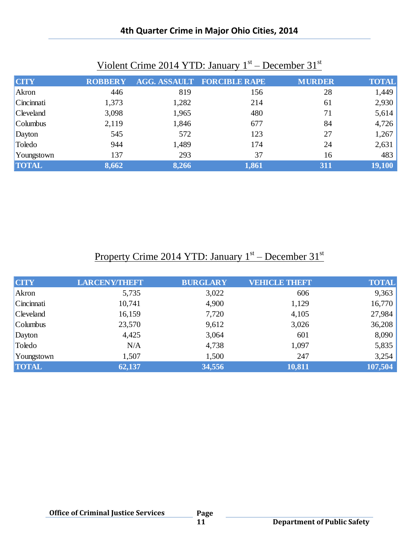#### **4th Quarter Crime in Major Ohio Cities, 2014**

| <b>CITY</b>       | <b>ROBBERY</b> |       | <b>AGG. ASSAULT FORCIBLE RAPE</b> | <b>MURDER</b> | <b>TOTAL</b> |
|-------------------|----------------|-------|-----------------------------------|---------------|--------------|
| Akron             | 446            | 819   | 156                               | 28            | 1,449        |
| Cincinnati        | 1,373          | 1,282 | 214                               | 61            | 2,930        |
| <b>C</b> leveland | 3,098          | 1,965 | 480                               | 71            | 5,614        |
| Columbus          | 2,119          | 1,846 | 677                               | 84            | 4,726        |
| Dayton            | 545            | 572   | 123                               | 27            | 1,267        |
| Toledo            | 944            | 1,489 | 174                               | 24            | 2,631        |
| Youngstown        | 137            | 293   | 37                                | 16            | 483          |
| <b>TOTAL</b>      | 8,662          | 8,266 | 1,861                             | 311           | 19,100       |

## Violent Crime 2014 YTD: January 1<sup>st</sup> – December 31<sup>st</sup>

## Property Crime 2014 YTD: January 1<sup>st</sup> – December 31<sup>st</sup>

| <b>CITY</b>          | <b>LARCENY/THEFT</b> | <b>BURGLARY</b> | <b>VEHICLE THEFT</b> | <b>TOTAL</b> |
|----------------------|----------------------|-----------------|----------------------|--------------|
| Akron                | 5,735                | 3,022           | 606                  | 9,363        |
| Cincinnati           | 10,741               | 4,900           | 1,129                | 16,770       |
| <b>C</b> leveland    | 16,159               | 7,720           | 4,105                | 27,984       |
| $\mathsf{C}$ olumbus | 23,570               | 9,612           | 3,026                | 36,208       |
| Dayton               | 4,425                | 3,064           | 601                  | 8,090        |
| Toledo               | N/A                  | 4,738           | 1,097                | 5,835        |
| Youngstown           | 1,507                | 1,500           | 247                  | 3,254        |
| <b>TOTAL</b>         | 62,137               | 34,556          | 10,811               | 107,504      |